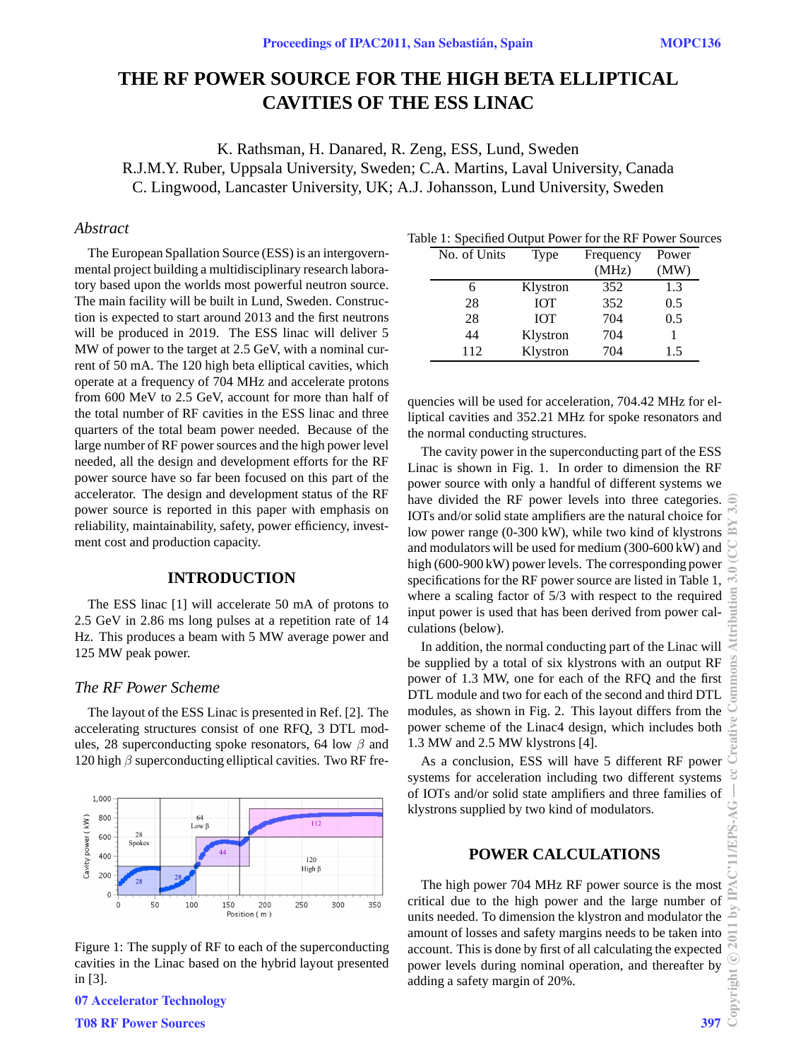# **THE RF POWER SOURCE FOR THE HIGH BETA ELLIPTICAL CAVITIES OF THE ESS LINAC**

K. Rathsman, H. Danared, R. Zeng, ESS, Lund, Sweden R.J.M.Y. Ruber, Uppsala University, Sweden; C.A. Martins, Laval University, Canada C. Lingwood, Lancaster University, UK; A.J. Johansson, Lund University, Sweden

## *Abstract*

The European Spallation Source (ESS) is an intergovernmental project building a multidisciplinary research laboratory based upon the worlds most powerful neutron source. The main facility will be built in Lund, Sweden. Construction is expected to start around 2013 and the first neutrons will be produced in 2019. The ESS linac will deliver 5 MW of power to the target at 2.5 GeV, with a nominal current of 50 mA. The 120 high beta elliptical cavities, which operate at a frequency of 704 MHz and accelerate protons from 600 MeV to 2.5 GeV, account for more than half of the total number of RF cavities in the ESS linac and three quarters of the total beam power needed. Because of the large number of RF power sources and the high power level needed, all the design and development efforts for the RF power source have so far been focused on this part of the accelerator. The design and development status of the RF power source is reported in this paper with emphasis on reliability, maintainability, safety, power efficiency, investment cost and production capacity.

## **INTRODUCTION**

The ESS linac [1] will accelerate 50 mA of protons to 2.5 GeV in 2.86 ms long pulses at a repetition rate of 14 Hz. This produces a beam with 5 MW average power and 125 MW peak power.

## *The RF Power Scheme*

The layout of the ESS Linac is presented in Ref. [2]. The accelerating structures consist of one RFQ, 3 DTL modules, 28 superconducting spoke resonators, 64 low  $\beta$  and 120 high  $\beta$  superconducting elliptical cavities. Two RF fre-



Figure 1: The supply of RF to each of the superconducting cavities in the Linac based on the hybrid layout presented in [3].

07 Accelerator Technology T08 RF Power Sources 397

| No. of Units | Type       | Frequency | Power |
|--------------|------------|-----------|-------|
|              |            | (MHz)     | (MW)  |
|              | Klystron   | 352       | 1.3   |
| 28           | <b>IOT</b> | 352       | 0.5   |
| 28           | <b>IOT</b> | 704       | 0.5   |
| 44           | Klystron   | 704       |       |
| 112          | Klystron   | 704       | 1.5   |

quencies will be used for acceleration, 704.42 MHz for elliptical cavities and 352.21 MHz for spoke resonators and the normal conducting structures.

The cavity power in the superconducting part of the ESS Linac is shown in Fig. 1. In order to dimension the RF power source with only a handful of different systems we have divided the RF power levels into three categories. IOTs and/or solid state amplifiers are the natural choice for low power range (0-300 kW), while two kind of klystrons and modulators will be used for medium (300-600 kW) and high (600-900 kW) power levels. The corresponding power specifications for the RF power source are listed in Table 1, where a scaling factor of 5/3 with respect to the required input power is used that has been derived from power calculations (below).

In addition, the normal conducting part of the Linac will be supplied by a total of six klystrons with an output RF power of 1.3 MW, one for each of the RFQ and the first DTL module and two for each of the second and third DTL modules, as shown in Fig. 2. This layout differs from the power scheme of the Linac4 design, which includes both 1.3 MW and 2.5 MW klystrons [4].

As a conclusion, ESS will have 5 different RF power systems for acceleration including two different systems of IOTs and/or solid state amplifiers and three families of klystrons supplied by two kind of modulators.

## **POWER CALCULATIONS**

The high power 704 MHz RF power source is the most critical due to the high power and the large number of units needed. To dimension the klystron and modulator the amount of losses and safety margins needs to be taken into account. This is done by first of all calculating the expected power levels during nominal operation, and thereafter by adding a safety margin of 20%.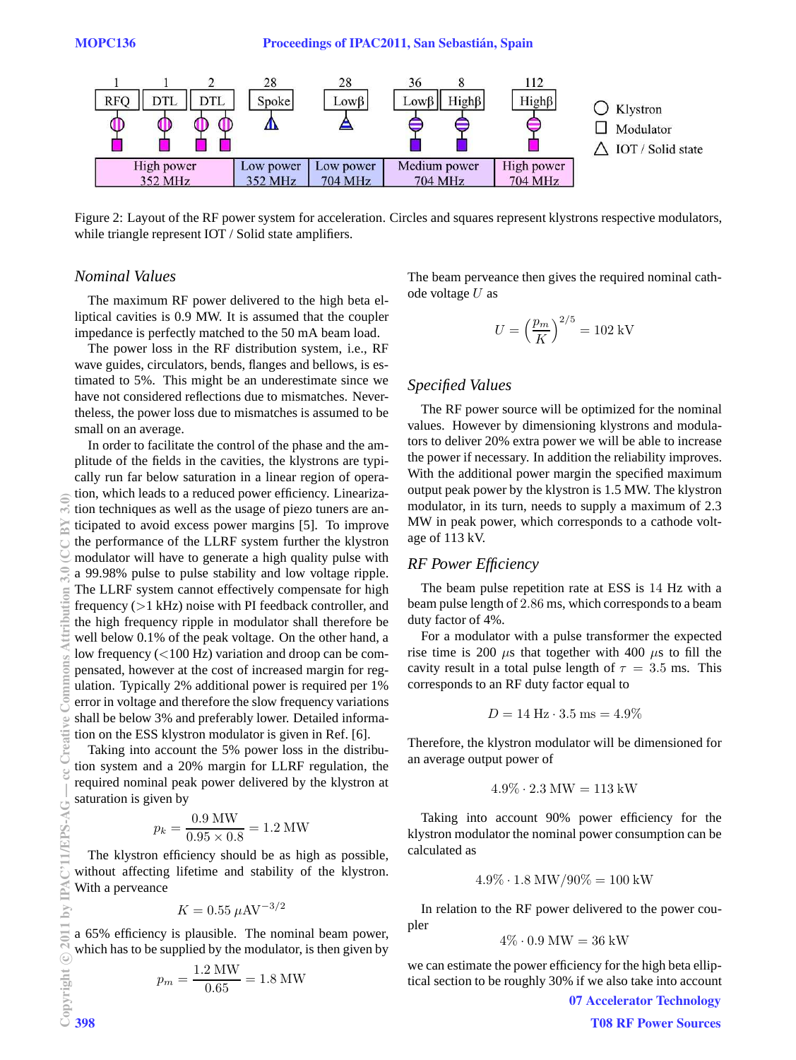

Figure 2: Layout of the RF power system for acceleration. Circles and squares represent klystrons respective modulators, while triangle represent IOT / Solid state amplifiers.

## *Nominal Values*

The maximum RF power delivered to the high beta elliptical cavities is 0.9 MW. It is assumed that the coupler impedance is perfectly matched to the 50 mA beam load.

The power loss in the RF distribution system, i.e., RF wave guides, circulators, bends, flanges and bellows, is estimated to 5%. This might be an underestimate since we have not considered reflections due to mismatches. Nevertheless, the power loss due to mismatches is assumed to be small on an average.

In order to facilitate the control of the phase and the amplitude of the fields in the cavities, the klystrons are typically run far below saturation in a linear region of operation, which leads to a reduced power efficiency. Linearization techniques as well as the usage of piezo tuners are anticipated to avoid excess power margins [5]. To improve the performance of the LLRF system further the klystron modulator will have to generate a high quality pulse with a 99.98% pulse to pulse stability and low voltage ripple. The LLRF system cannot effectively compensate for high frequency (>1 kHz) noise with PI feedback controller, and the high frequency ripple in modulator shall therefore be well below 0.1% of the peak voltage. On the other hand, a low frequency (<100 Hz) variation and droop can be compensated, however at the cost of increased margin for regulation. Typically 2% additional power is required per 1% error in voltage and therefore the slow frequency variations shall be below 3% and preferably lower. Detailed information on the ESS klystron modulator is given in Ref. [6].

Taking into account the 5% power loss in the distribution system and a 20% margin for LLRF regulation, the required nominal peak power delivered by the klystron at saturation is given by

$$
p_k = \frac{0.9 \text{ MW}}{0.95 \times 0.8} = 1.2 \text{ MW}
$$

The klystron efficiency should be as high as possible, without affecting lifetime and stability of the klystron. With a perveance

$$
K = 0.55 \,\mu\text{AV}^{-3/2}
$$

a 65% efficiency is plausible. The nominal beam power, which has to be supplied by the modulator, is then given by

$$
p_m = \frac{1.2 \text{ MW}}{0.65} = 1.8 \text{ MW}
$$

The beam perveance then gives the required nominal cathode voltage  $U$  as

$$
U = \left(\frac{p_m}{K}\right)^{2/5} = 102 \text{ kV}
$$

#### *Specified Values*

The RF power source will be optimized for the nominal values. However by dimensioning klystrons and modulators to deliver 20% extra power we will be able to increase the power if necessary. In addition the reliability improves. With the additional power margin the specified maximum output peak power by the klystron is 1.5 MW. The klystron modulator, in its turn, needs to supply a maximum of 2.3 MW in peak power, which corresponds to a cathode voltage of 113 kV.

#### *RF Power Efficiency*

The beam pulse repetition rate at ESS is 14 Hz with a beam pulse length of 2.86 ms, which corresponds to a beam duty factor of 4%.

For a modulator with a pulse transformer the expected rise time is 200  $\mu$ s that together with 400  $\mu$ s to fill the cavity result in a total pulse length of  $\tau = 3.5$  ms. This corresponds to an RF duty factor equal to

$$
D=14\:\mathrm{Hz}\cdot 3.5\:\mathrm{ms}=4.9\%
$$

Therefore, the klystron modulator will be dimensioned for an average output power of

$$
4.9\%\cdot2.3\,\mathrm{MW}=113\:\mathrm{kW}
$$

Taking into account 90% power efficiency for the klystron modulator the nominal power consumption can be calculated as

$$
4.9\% \cdot 1.8 \text{ MW}/90\% = 100 \text{ kW}
$$

In relation to the RF power delivered to the power coupler

$$
4\% \cdot 0.9 \text{ MW} = 36 \text{ kW}
$$

we can estimate the power efficiency for the high beta elliptical section to be roughly 30% if we also take into account

07 Accelerator Technology